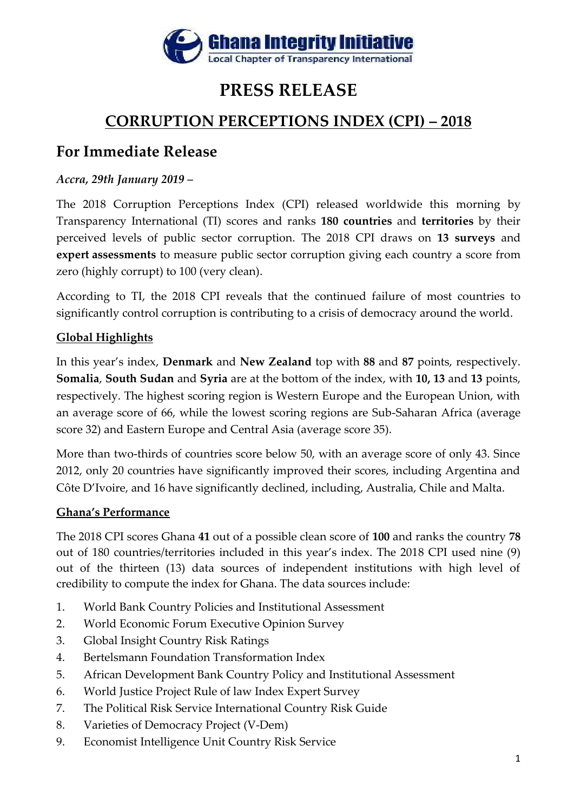

# **PRESS RELEASE**

# **CORRUPTION PERCEPTIONS INDEX (CPI) – 2018**

## **For Immediate Release**

### *Accra, 29th January 2019 –*

The 2018 Corruption Perceptions Index (CPI) released worldwide this morning by Transparency International (TI) scores and ranks **180 countries** and **territories** by their perceived levels of public sector corruption. The 2018 CPI draws on **13 surveys** and **expert assessments** to measure public sector corruption giving each country a score from zero (highly corrupt) to 100 (very clean).

According to TI, the 2018 CPI reveals that the continued failure of most countries to significantly control corruption is contributing to a crisis of democracy around the world.

### **Global Highlights**

In this year's index, **Denmark** and **New Zealand** top with **88** and **87** points, respectively. **Somalia**, **South Sudan** and **Syria** are at the bottom of the index, with **10, 13** and **13** points, respectively. The highest scoring region is Western Europe and the European Union, with an average score of 66, while the lowest scoring regions are Sub-Saharan Africa (average score 32) and Eastern Europe and Central Asia (average score 35).

More than two-thirds of countries score below 50, with an average score of only 43. Since 2012, only 20 countries have significantly improved their scores, including Argentina and Côte D'Ivoire, and 16 have significantly declined, including, Australia, Chile and Malta.

### **Ghana's Performance**

The 2018 CPI scores Ghana **41** out of a possible clean score of **100** and ranks the country **78** out of 180 countries/territories included in this year's index. The 2018 CPI used nine (9) out of the thirteen (13) data sources of independent institutions with high level of credibility to compute the index for Ghana. The data sources include:

- 1. World Bank Country Policies and Institutional Assessment
- 2. World Economic Forum Executive Opinion Survey
- 3. Global Insight Country Risk Ratings
- 4. Bertelsmann Foundation Transformation Index
- 5. African Development Bank Country Policy and Institutional Assessment
- 6. World Justice Project Rule of law Index Expert Survey
- 7. The Political Risk Service International Country Risk Guide
- 8. Varieties of Democracy Project (V-Dem)
- 9. Economist Intelligence Unit Country Risk Service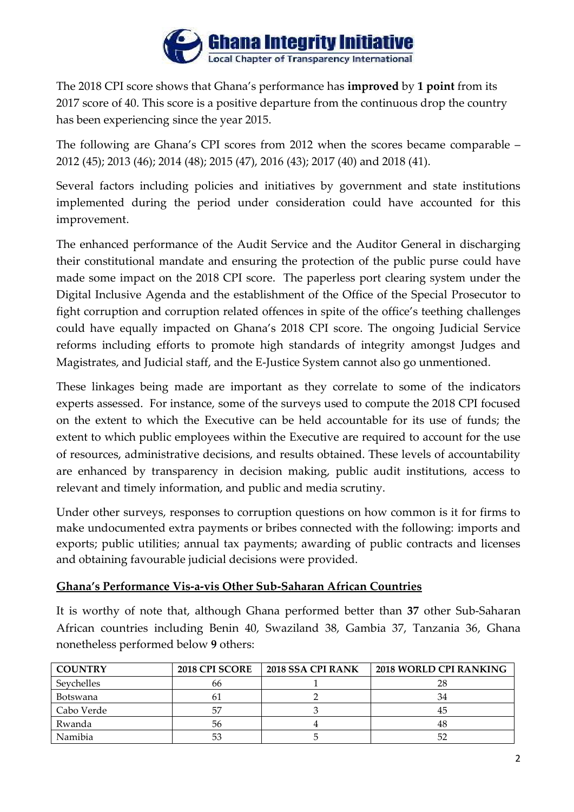

The 2018 CPI score shows that Ghana's performance has **improved** by **1 point** from its 2017 score of 40. This score is a positive departure from the continuous drop the country has been experiencing since the year 2015.

The following are Ghana's CPI scores from 2012 when the scores became comparable – 2012 (45); 2013 (46); 2014 (48); 2015 (47), 2016 (43); 2017 (40) and 2018 (41).

Several factors including policies and initiatives by government and state institutions implemented during the period under consideration could have accounted for this improvement.

The enhanced performance of the Audit Service and the Auditor General in discharging their constitutional mandate and ensuring the protection of the public purse could have made some impact on the 2018 CPI score. The paperless port clearing system under the Digital Inclusive Agenda and the establishment of the Office of the Special Prosecutor to fight corruption and corruption related offences in spite of the office's teething challenges could have equally impacted on Ghana's 2018 CPI score. The ongoing Judicial Service reforms including efforts to promote high standards of integrity amongst Judges and Magistrates, and Judicial staff, and the E-Justice System cannot also go unmentioned.

These linkages being made are important as they correlate to some of the indicators experts assessed. For instance, some of the surveys used to compute the 2018 CPI focused on the extent to which the Executive can be held accountable for its use of funds; the extent to which public employees within the Executive are required to account for the use of resources, administrative decisions, and results obtained. These levels of accountability are enhanced by transparency in decision making, public audit institutions, access to relevant and timely information, and public and media scrutiny.

Under other surveys, responses to corruption questions on how common is it for firms to make undocumented extra payments or bribes connected with the following: imports and exports; public utilities; annual tax payments; awarding of public contracts and licenses and obtaining favourable judicial decisions were provided.

#### **Ghana's Performance Vis-a-vis Other Sub-Saharan African Countries**

It is worthy of note that, although Ghana performed better than **37** other Sub-Saharan African countries including Benin 40, Swaziland 38, Gambia 37, Tanzania 36, Ghana nonetheless performed below **9** others:

| <b>COUNTRY</b> | 2018 CPI SCORE | 2018 SSA CPI RANK | 2018 WORLD CPI RANKING |
|----------------|----------------|-------------------|------------------------|
| Sevchelles     | 66             |                   |                        |
| Botswana       | 61             |                   |                        |
| Cabo Verde     | .57            |                   |                        |
| Rwanda         | 56             |                   | 48                     |
| Namibia        | 53             |                   |                        |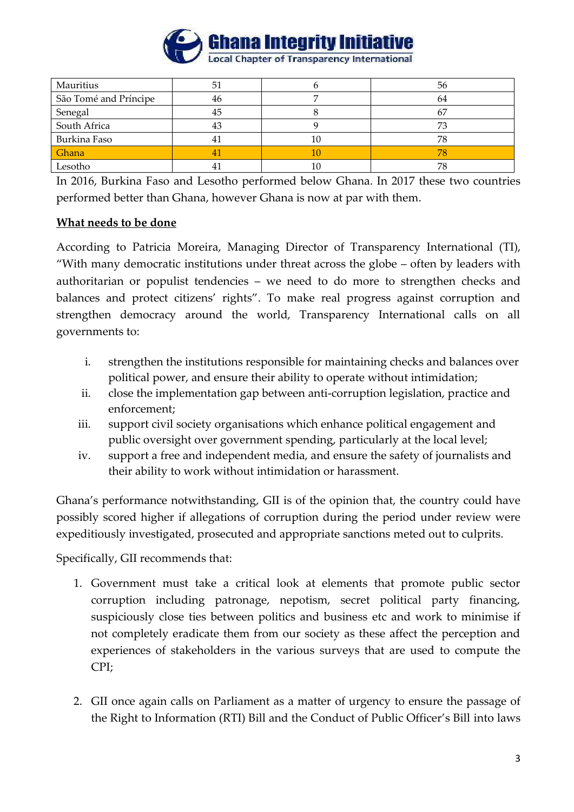

| Mauritius             | 51 |    | 56 |
|-----------------------|----|----|----|
| São Tomé and Príncipe | 46 |    | 64 |
| Senegal               | 45 |    |    |
| South Africa          | 43 |    |    |
| Burkina Faso          | 41 | 10 | 78 |
| Ghana                 | 4  | 10 |    |
| Lesotho               |    |    | 78 |

In 2016, Burkina Faso and Lesotho performed below Ghana. In 2017 these two countries performed better than Ghana, however Ghana is now at par with them.

#### **What needs to be done**

According to Patricia Moreira, Managing Director of Transparency International (TI), "With many democratic institutions under threat across the globe – often by leaders with authoritarian or populist tendencies – we need to do more to strengthen checks and balances and protect citizens' rights". To make real progress against corruption and strengthen democracy around the world, Transparency International calls on all governments to:

- i. strengthen the institutions responsible for maintaining checks and balances over political power, and ensure their ability to operate without intimidation;
- ii. close the implementation gap between anti-corruption legislation, practice and enforcement;
- iii. support civil society organisations which enhance political engagement and public oversight over government spending, particularly at the local level;
- iv. support a free and independent media, and ensure the safety of journalists and their ability to work without intimidation or harassment.

Ghana's performance notwithstanding, GII is of the opinion that, the country could have possibly scored higher if allegations of corruption during the period under review were expeditiously investigated, prosecuted and appropriate sanctions meted out to culprits.

Specifically, GII recommends that:

- 1. Government must take a critical look at elements that promote public sector corruption including patronage, nepotism, secret political party financing, suspiciously close ties between politics and business etc and work to minimise if not completely eradicate them from our society as these affect the perception and experiences of stakeholders in the various surveys that are used to compute the CPI;
- 2. GII once again calls on Parliament as a matter of urgency to ensure the passage of the Right to Information (RTI) Bill and the Conduct of Public Officer's Bill into laws